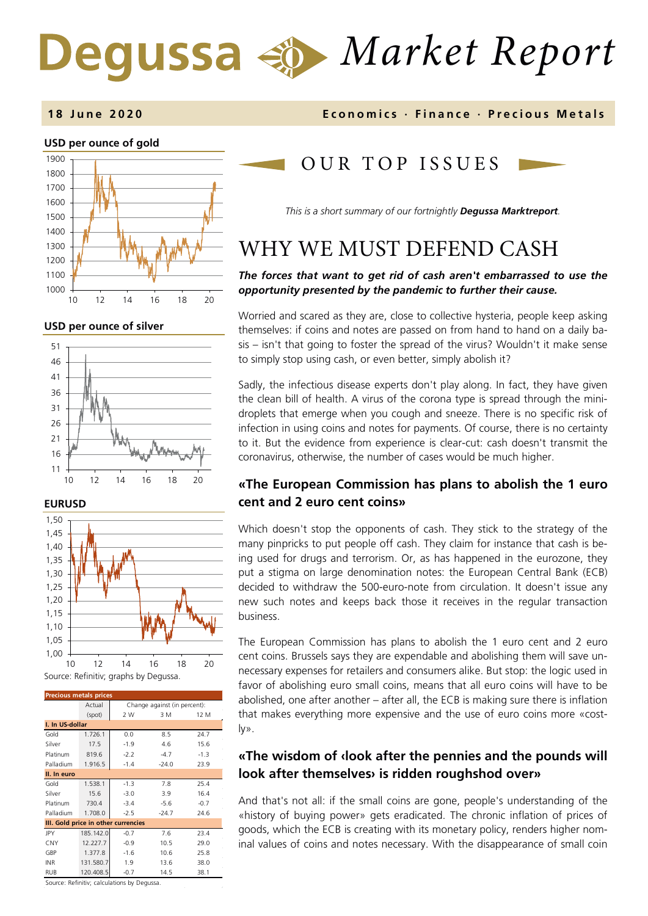# *Market Report* Degussa  $\triangleleft \phi$

### **USD per ounce of gold**  1000 1100 1200 1300 1400 1500 1600 1700 1800 1900 10 12 14 16 18 20

**USD per ounce of silver** 





| <b>Precious metals prices</b>       |           |                              |         |        |  |
|-------------------------------------|-----------|------------------------------|---------|--------|--|
|                                     | Actual    | Change against (in percent): |         |        |  |
|                                     | (spot)    | 2 W                          | 3 M     | 12 M   |  |
| I. In US-dollar                     |           |                              |         |        |  |
| Gold                                | 1.726.1   | 0.0                          | 8.5     | 24.7   |  |
| Silver                              | 17.5      | $-1.9$                       | 4.6     | 15.6   |  |
| Platinum                            | 819.6     | $-2.2$                       | $-4.7$  | $-1.3$ |  |
| Palladium                           | 1.916.5   | $-1.4$                       | $-24.0$ | 23.9   |  |
| II. In euro                         |           |                              |         |        |  |
| Gold                                | 1.538.1   | $-1.3$                       | 7.8     | 25.4   |  |
| Silver                              | 15.6      | $-3.0$                       | 3.9     | 16.4   |  |
| Platinum                            | 730.4     | $-3.4$                       | $-5.6$  | $-0.7$ |  |
| Palladium                           | 1.708.0   | $-2.5$                       | $-24.7$ | 24.6   |  |
| III. Gold price in other currencies |           |                              |         |        |  |
| <b>JPY</b>                          | 185.142.0 | $-0.7$                       | 7.6     | 23.4   |  |
| CNY                                 | 12.227.7  | $-0.9$                       | 10.5    | 29.0   |  |
| GBP                                 | 1.377.8   | $-1.6$                       | 10.6    | 25.8   |  |
| <b>INR</b>                          | 131.580.7 | 1.9                          | 13.6    | 38.0   |  |
| <b>RUB</b>                          | 120.408.5 | $-0.7$                       | 14.5    | 38.1   |  |

**1 8 June 2020 Economics · Finance · Precious M etals**

# OUR TOP ISSUE S

*This is a short summary of our fortnightly Degussa Marktreport.*

# WHY WE MUST DEFEND CASH

## *The forces that want to get rid of cash aren't embarrassed to use the opportunity presented by the pandemic to further their cause.*

Worried and scared as they are, close to collective hysteria, people keep asking themselves: if coins and notes are passed on from hand to hand on a daily basis – isn't that going to foster the spread of the virus? Wouldn't it make sense to simply stop using cash, or even better, simply abolish it?

Sadly, the infectious disease experts don't play along. In fact, they have given the clean bill of health. A virus of the corona type is spread through the minidroplets that emerge when you cough and sneeze. There is no specific risk of infection in using coins and notes for payments. Of course, there is no certainty to it. But the evidence from experience is clear-cut: cash doesn't transmit the coronavirus, otherwise, the number of cases would be much higher.

# **«The European Commission has plans to abolish the 1 euro cent and 2 euro cent coins»**

Which doesn't stop the opponents of cash. They stick to the strategy of the many pinpricks to put people off cash. They claim for instance that cash is being used for drugs and terrorism. Or, as has happened in the eurozone, they put a stigma on large denomination notes: the European Central Bank (ECB) decided to withdraw the 500-euro-note from circulation. It doesn't issue any new such notes and keeps back those it receives in the regular transaction business.

The European Commission has plans to abolish the 1 euro cent and 2 euro cent coins. Brussels says they are expendable and abolishing them will save unnecessary expenses for retailers and consumers alike. But stop: the logic used in favor of abolishing euro small coins, means that all euro coins will have to be abolished, one after another – after all, the ECB is making sure there is inflation that makes everything more expensive and the use of euro coins more «costly».

# **«The wisdom of ‹look after the pennies and the pounds will look after themselves› is ridden roughshod over»**

And that's not all: if the small coins are gone, people's understanding of the «history of buying power» gets eradicated. The chronic inflation of prices of goods, which the ECB is creating with its monetary policy, renders higher nominal values of coins and notes necessary. With the disappearance of small coin

Source: Refinitiv; calculations by Degussa.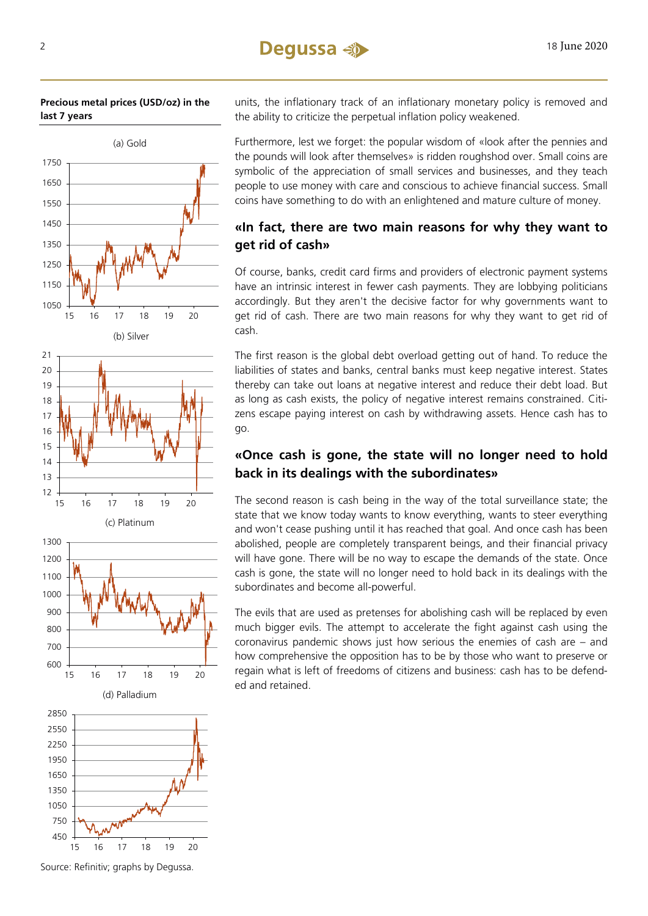







Source: Refinitiv; graphs by Degussa.

units, the inflationary track of an inflationary monetary policy is removed and the ability to criticize the perpetual inflation policy weakened.

Furthermore, lest we forget: the popular wisdom of «look after the pennies and the pounds will look after themselves» is ridden roughshod over. Small coins are symbolic of the appreciation of small services and businesses, and they teach people to use money with care and conscious to achieve financial success. Small coins have something to do with an enlightened and mature culture of money.

# **«In fact, there are two main reasons for why they want to get rid of cash»**

Of course, banks, credit card firms and providers of electronic payment systems have an intrinsic interest in fewer cash payments. They are lobbying politicians accordingly. But they aren't the decisive factor for why governments want to get rid of cash. There are two main reasons for why they want to get rid of cash.

The first reason is the global debt overload getting out of hand. To reduce the liabilities of states and banks, central banks must keep negative interest. States thereby can take out loans at negative interest and reduce their debt load. But as long as cash exists, the policy of negative interest remains constrained. Citizens escape paying interest on cash by withdrawing assets. Hence cash has to go.

# **«Once cash is gone, the state will no longer need to hold back in its dealings with the subordinates»**

The second reason is cash being in the way of the total surveillance state; the state that we know today wants to know everything, wants to steer everything and won't cease pushing until it has reached that goal. And once cash has been abolished, people are completely transparent beings, and their financial privacy will have gone. There will be no way to escape the demands of the state. Once cash is gone, the state will no longer need to hold back in its dealings with the subordinates and become all-powerful.

The evils that are used as pretenses for abolishing cash will be replaced by even much bigger evils. The attempt to accelerate the fight against cash using the coronavirus pandemic shows just how serious the enemies of cash are – and how comprehensive the opposition has to be by those who want to preserve or regain what is left of freedoms of citizens and business: cash has to be defended and retained.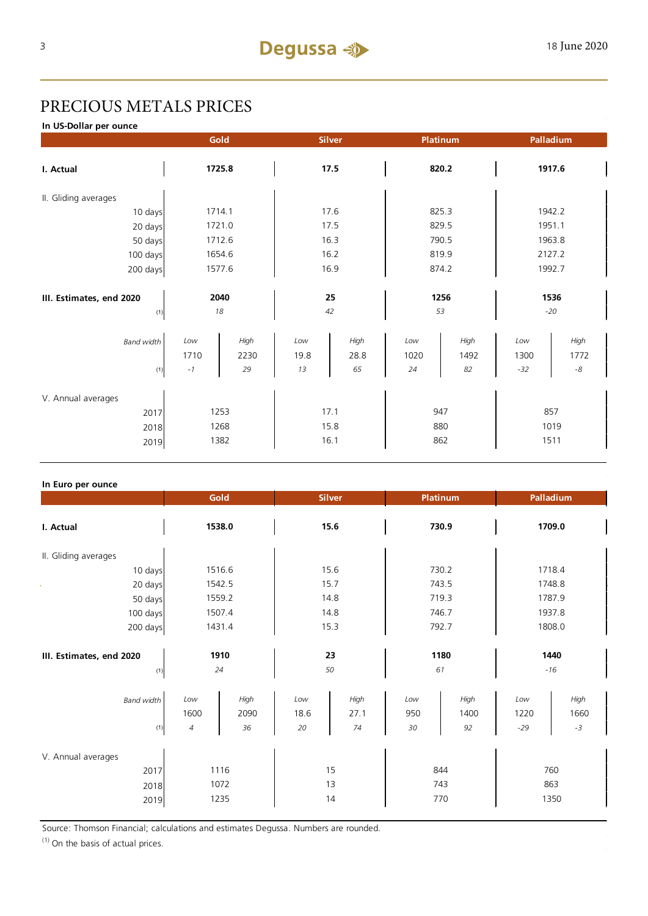# PRECIOUS METALS PRICES

**In US-Dollar per ounce**

|                                  |              | Gold<br><b>Silver</b> |             | Platinum     |             | Palladium    |             |              |
|----------------------------------|--------------|-----------------------|-------------|--------------|-------------|--------------|-------------|--------------|
| I. Actual                        | 1725.8       |                       | 17.5        |              | 820.2       |              | 1917.6      |              |
| II. Gliding averages             |              |                       |             |              |             |              |             |              |
| 10 days                          | 1714.1       |                       | 17.6        |              | 825.3       |              | 1942.2      |              |
| 20 days                          | 1721.0       |                       | 17.5        |              | 829.5       |              | 1951.1      |              |
| 50 days                          | 1712.6       |                       | 16.3        |              | 790.5       |              | 1963.8      |              |
| 100 days                         | 1654.6       |                       | 16.2        |              | 819.9       |              | 2127.2      |              |
| 200 days                         | 1577.6       |                       | 16.9        |              | 874.2       |              | 1992.7      |              |
|                                  |              |                       |             |              |             |              |             |              |
| 2040<br>III. Estimates, end 2020 |              | 25                    |             | 1256         |             | 1536         |             |              |
| (1)                              |              | 18                    |             | 42           | 53          |              |             | $-20$        |
| <b>Band width</b>                | Low<br>1710  | High<br>2230          | Low<br>19.8 | High<br>28.8 | Low<br>1020 | High<br>1492 | Low<br>1300 | High<br>1772 |
| (1)                              | $-1$         | 29                    | 13          | 65           | 24          | 82           | $-32$       | $\text{-}8$  |
| V. Annual averages               |              |                       |             |              |             |              |             |              |
| 2017                             | 1253         |                       | 17.1        |              | 947         |              | 857         |              |
| 2018                             |              | 1268                  | 15.8        |              | 880         |              | 1019        |              |
|                                  | 1382<br>2019 |                       | 16.1        |              | 862         |              | 1511        |              |

### **In Euro per ounce**

|                                 | Gold       | <b>Silver</b> |          | Platinum |            | Palladium |               |        |  |
|---------------------------------|------------|---------------|----------|----------|------------|-----------|---------------|--------|--|
| I. Actual                       | 1538.0     |               | 15.6     |          | 730.9      |           | 1709.0        |        |  |
| II. Gliding averages            |            |               |          |          |            |           |               |        |  |
| 10 days                         |            | 1516.6        | 15.6     |          | 730.2      |           | 1718.4        |        |  |
| 20 days                         |            | 1542.5        | 15.7     |          | 743.5      |           | 1748.8        |        |  |
| 50 days                         |            | 1559.2        | 14.8     |          | 719.3      |           | 1787.9        |        |  |
| 100 days                        |            | 1507.4        |          | 14.8     |            | 746.7     |               | 1937.8 |  |
| 200 days                        | 1431.4     |               | 15.3     |          | 792.7      |           | 1808.0        |        |  |
| III. Estimates, end 2020<br>(1) | 1910<br>24 |               | 23<br>50 |          | 1180<br>61 |           | 1440<br>$-16$ |        |  |
| <b>Band width</b>               | Low        | High          | Low      | High     | Low        | High      | Low           | High   |  |
|                                 | 1600       | 2090          | 18.6     | 27.1     | 950        | 1400      | 1220          | 1660   |  |
| (1)                             | 4          | 36            | 20       | 74       | 30         | 92        | $-29$         | $-3$   |  |
| V. Annual averages<br>2017      |            | 1116          |          | 15       |            | 844       |               | 760    |  |
| 2018                            | 1072       |               | 13       |          | 743        |           | 863           |        |  |
| 2019                            | 1235       |               | 14       |          | 770        |           | 1350          |        |  |

Source: Thomson Financial; calculations and estimates Degussa. Numbers are rounded.

 $(1)$  On the basis of actual prices.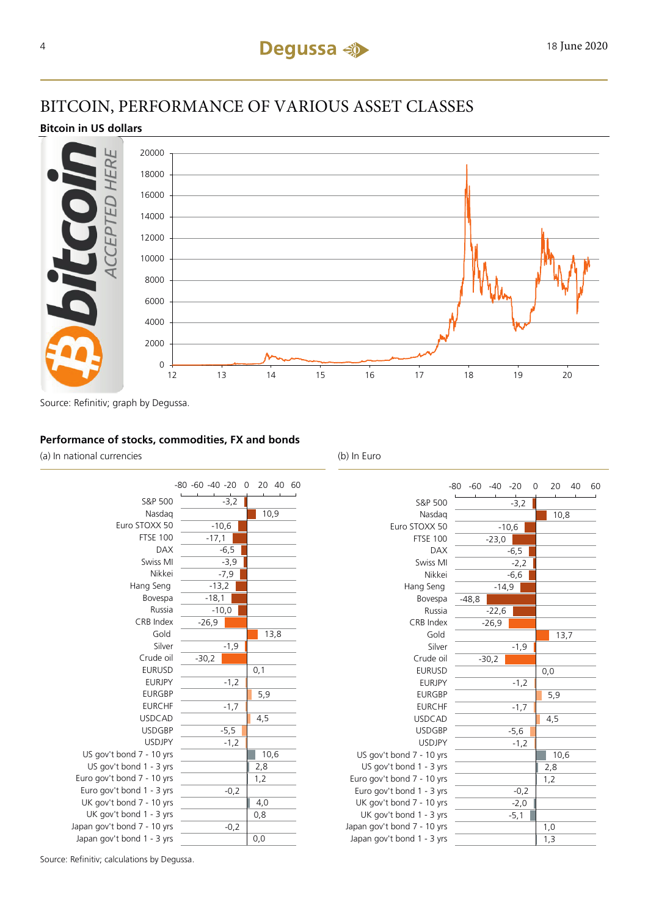# BITCOIN, PERFORMANCE OF VARIOUS ASSET CLASSES

### **Bitcoin in US dollars**



Source: Refinitiv; graph by Degussa.

### **Performance of stocks, commodities, FX and bonds**

(a) In national currencies (b) In Euro



|                             | $-80 -60 -40 -20$ |         | 0<br>20 | 40   | 60 |
|-----------------------------|-------------------|---------|---------|------|----|
| S&P 500                     |                   | $-3,2$  |         |      |    |
| Nasdag                      |                   |         | 10,8    |      |    |
| Euro STOXX 50               |                   | $-10,6$ |         |      |    |
| <b>FTSE 100</b>             | $-23,0$           |         |         |      |    |
| <b>DAX</b>                  |                   | $-6,5$  |         |      |    |
| Swiss MI                    |                   | $-2,2$  |         |      |    |
| Nikkei                      |                   | $-6,6$  |         |      |    |
| Hang Seng                   | $-14,9$           |         |         |      |    |
| Bovespa                     | $-48,8$           |         |         |      |    |
| Russia                      | $-22,6$           |         |         |      |    |
| CRB Index                   | $-26,9$           |         |         |      |    |
| Gold                        |                   |         |         | 13,7 |    |
| Silver                      |                   | $-1,9$  |         |      |    |
| Crude oil                   | $-30,2$           |         |         |      |    |
| <b>EURUSD</b>               |                   |         | 0,0     |      |    |
| <b>EURJPY</b>               |                   | $-1,2$  |         |      |    |
| <b>EURGBP</b>               |                   |         | 5,9     |      |    |
| <b>EURCHF</b>               |                   | $-1,7$  |         |      |    |
| <b>USDCAD</b>               |                   |         | 4,5     |      |    |
| <b>USDGBP</b>               |                   | $-5,6$  |         |      |    |
| <b>USDJPY</b>               |                   | $-1,2$  |         |      |    |
| US gov't bond 7 - 10 yrs    |                   |         | 10,6    |      |    |
| US gov't bond 1 - 3 yrs     |                   |         | 2,8     |      |    |
| Euro gov't bond 7 - 10 yrs  |                   |         | 1,2     |      |    |
| Euro gov't bond 1 - 3 yrs   |                   | $-0,2$  |         |      |    |
| UK gov't bond 7 - 10 yrs    |                   | $-2,0$  |         |      |    |
| UK gov't bond 1 - 3 yrs     |                   | $-5,1$  |         |      |    |
| Japan gov't bond 7 - 10 yrs |                   |         | 1,0     |      |    |
| Japan gov't bond 1 - 3 yrs  |                   |         | 1,3     |      |    |

Source: Refinitiv; calculations by Degussa.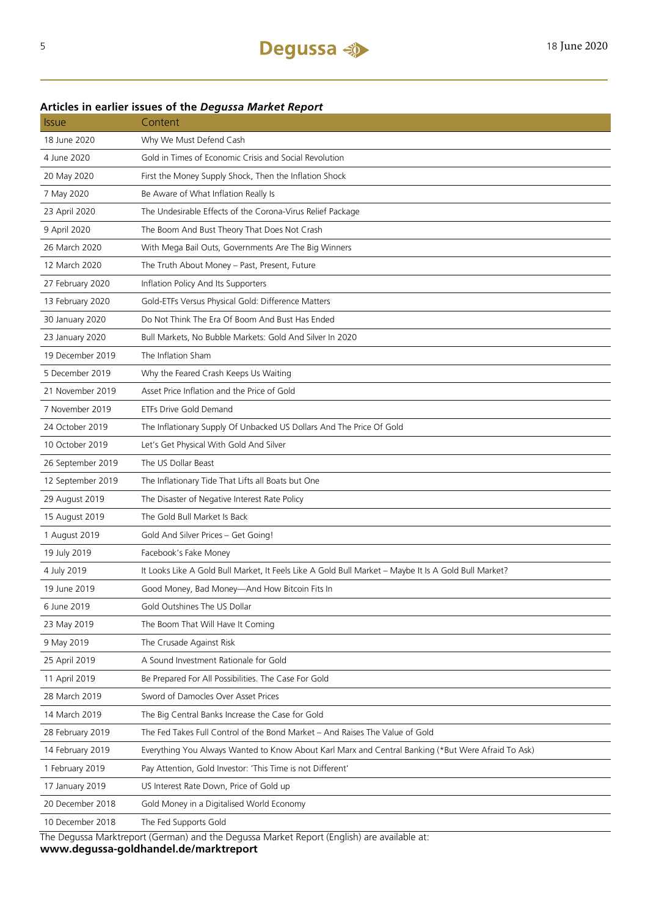### **Articles in earlier issues of the** *Degussa Market Report*

| <b>Issue</b>      | Content                                                                                              |
|-------------------|------------------------------------------------------------------------------------------------------|
| 18 June 2020      | Why We Must Defend Cash                                                                              |
| 4 June 2020       | Gold in Times of Economic Crisis and Social Revolution                                               |
| 20 May 2020       | First the Money Supply Shock, Then the Inflation Shock                                               |
| 7 May 2020        | Be Aware of What Inflation Really Is                                                                 |
| 23 April 2020     | The Undesirable Effects of the Corona-Virus Relief Package                                           |
| 9 April 2020      | The Boom And Bust Theory That Does Not Crash                                                         |
| 26 March 2020     | With Mega Bail Outs, Governments Are The Big Winners                                                 |
| 12 March 2020     | The Truth About Money - Past, Present, Future                                                        |
| 27 February 2020  | Inflation Policy And Its Supporters                                                                  |
| 13 February 2020  | Gold-ETFs Versus Physical Gold: Difference Matters                                                   |
| 30 January 2020   | Do Not Think The Era Of Boom And Bust Has Ended                                                      |
| 23 January 2020   | Bull Markets, No Bubble Markets: Gold And Silver In 2020                                             |
| 19 December 2019  | The Inflation Sham                                                                                   |
| 5 December 2019   | Why the Feared Crash Keeps Us Waiting                                                                |
| 21 November 2019  | Asset Price Inflation and the Price of Gold                                                          |
| 7 November 2019   | ETFs Drive Gold Demand                                                                               |
| 24 October 2019   | The Inflationary Supply Of Unbacked US Dollars And The Price Of Gold                                 |
| 10 October 2019   | Let's Get Physical With Gold And Silver                                                              |
| 26 September 2019 | The US Dollar Beast                                                                                  |
| 12 September 2019 | The Inflationary Tide That Lifts all Boats but One                                                   |
| 29 August 2019    | The Disaster of Negative Interest Rate Policy                                                        |
| 15 August 2019    | The Gold Bull Market Is Back                                                                         |
| 1 August 2019     | Gold And Silver Prices - Get Going!                                                                  |
| 19 July 2019      | Facebook's Fake Money                                                                                |
| 4 July 2019       | It Looks Like A Gold Bull Market, It Feels Like A Gold Bull Market - Maybe It Is A Gold Bull Market? |
| 19 June 2019      | Good Money, Bad Money-And How Bitcoin Fits In                                                        |
| 6 June 2019       | Gold Outshines The US Dollar                                                                         |
| 23 May 2019       | The Boom That Will Have It Coming                                                                    |
| 9 May 2019        | The Crusade Against Risk                                                                             |
| 25 April 2019     | A Sound Investment Rationale for Gold                                                                |
| 11 April 2019     | Be Prepared For All Possibilities. The Case For Gold                                                 |
| 28 March 2019     | Sword of Damocles Over Asset Prices                                                                  |
| 14 March 2019     | The Big Central Banks Increase the Case for Gold                                                     |
| 28 February 2019  | The Fed Takes Full Control of the Bond Market - And Raises The Value of Gold                         |
| 14 February 2019  | Everything You Always Wanted to Know About Karl Marx and Central Banking (*But Were Afraid To Ask)   |
| 1 February 2019   | Pay Attention, Gold Investor: 'This Time is not Different'                                           |
| 17 January 2019   | US Interest Rate Down, Price of Gold up                                                              |
| 20 December 2018  | Gold Money in a Digitalised World Economy                                                            |
| 10 December 2018  | The Fed Supports Gold                                                                                |

The Degussa Marktreport (German) and the Degussa Market Report (English) are available at:

**www.degussa-goldhandel.de/marktreport**